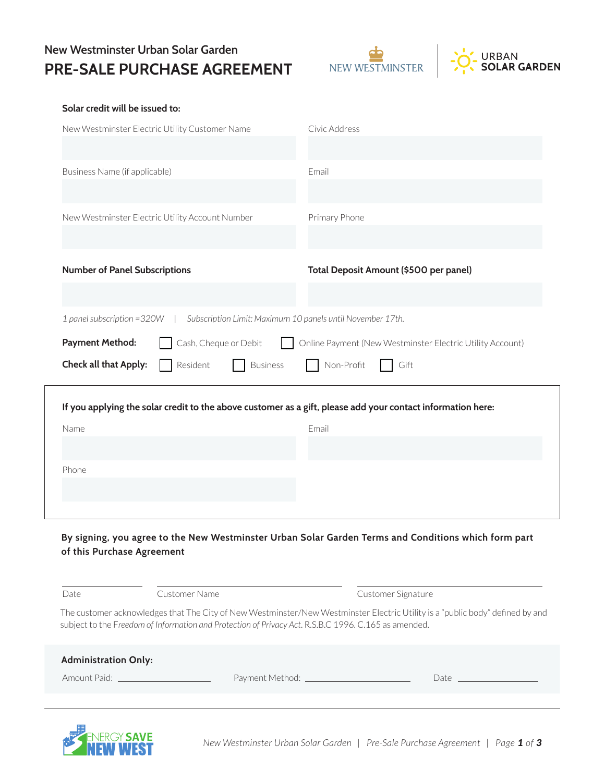## **New Westminster Urban Solar Garden PRE-SALE PURCHASE AGREEMENT**





#### **Solar credit will be issued to:**

| New Westminster Electric Utility Customer Name                                                               | Civic Address                          |  |  |
|--------------------------------------------------------------------------------------------------------------|----------------------------------------|--|--|
|                                                                                                              |                                        |  |  |
| Business Name (if applicable)                                                                                | Email                                  |  |  |
|                                                                                                              |                                        |  |  |
| New Westminster Electric Utility Account Number                                                              | Primary Phone                          |  |  |
|                                                                                                              |                                        |  |  |
| <b>Number of Panel Subscriptions</b>                                                                         | Total Deposit Amount (\$500 per panel) |  |  |
|                                                                                                              |                                        |  |  |
| Subscription Limit: Maximum 10 panels until November 17th.<br>1 panel subscription = 320W                    |                                        |  |  |
| <b>Payment Method:</b><br>Cash, Cheque or Debit<br>Online Payment (New Westminster Electric Utility Account) |                                        |  |  |
| Check all that Apply:<br>Non-Profit<br>Resident<br><b>Business</b><br>Gift                                   |                                        |  |  |
| If you applying the solar credit to the above customer as a gift, please add your contact information here:  |                                        |  |  |
| Name                                                                                                         | Email                                  |  |  |
|                                                                                                              |                                        |  |  |
| Phone                                                                                                        |                                        |  |  |
|                                                                                                              |                                        |  |  |
|                                                                                                              |                                        |  |  |

## **By signing, you agree to the New Westminster Urban Solar Garden Terms and Conditions which form part of this Purchase Agreement**

| Date                        | Customer Name                                                                                        |                              | Customer Signature                                                                                                            |
|-----------------------------|------------------------------------------------------------------------------------------------------|------------------------------|-------------------------------------------------------------------------------------------------------------------------------|
|                             | subject to the Freedom of Information and Protection of Privacy Act. R.S.B.C 1996. C.165 as amended. |                              | The customer acknowledges that The City of New Westminster/New Westminster Electric Utility is a "public body" defined by and |
| <b>Administration Only:</b> |                                                                                                      |                              |                                                                                                                               |
| Amount Paid:                |                                                                                                      | Payment Method: ____________ | Date.                                                                                                                         |

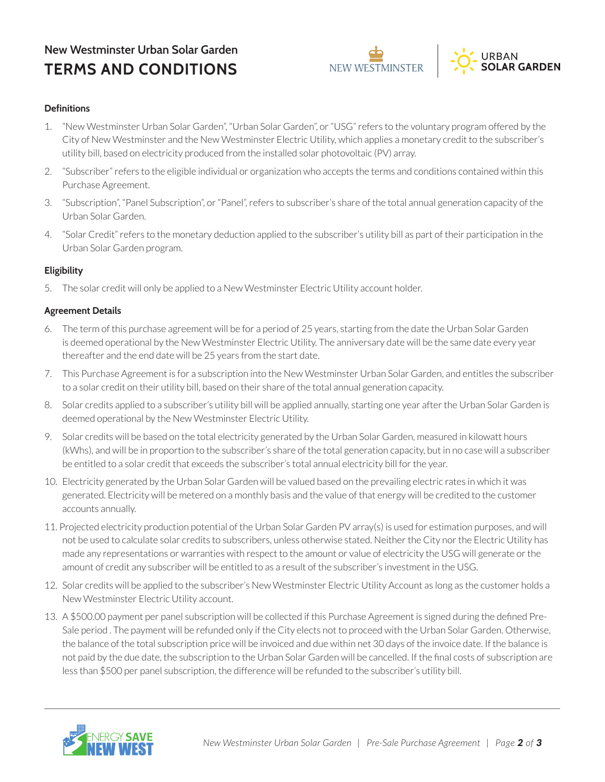# **New Westminster Urban Solar Garden TERMS AND CONDITIONS**





## **Definitions**

- 1. "New Westminster Urban Solar Garden", "Urban Solar Garden", or "USG" refers to the voluntary program offered by the City of New Westminster and the New Westminster Electric Utility, which applies a monetary credit to the subscriber's utility bill, based on electricity produced from the installed solar photovoltaic (PV) array.
- 2. "Subscriber" refers to the eligible individual or organization who accepts the terms and conditions contained within this Purchase Agreement.
- 3. "Subscription", "Panel Subscription", or "Panel", refers to subscriber's share of the total annual generation capacity of the Urban Solar Garden.
- 4. "Solar Credit" refers to the monetary deduction applied to the subscriber's utility bill as part of their participation in the Urban Solar Garden program.

## **Eligibility**

5. The solar credit will only be applied to a New Westminster Electric Utility account holder.

## **Agreement Details**

- 6. The term of this purchase agreement will be for a period of 25 years, starting from the date the Urban Solar Garden is deemed operational by the New Westminster Electric Utility. The anniversary date will be the same date every year thereafter and the end date will be 25 years from the start date.
- 7. This Purchase Agreement is for a subscription into the New Westminster Urban Solar Garden, and entitles the subscriber to a solar credit on their utility bill, based on their share of the total annual generation capacity.
- 8. Solar credits applied to a subscriber's utility bill will be applied annually, starting one year after the Urban Solar Garden is deemed operational by the New Westminster Electric Utility.
- 9. Solar credits will be based on the total electricity generated by the Urban Solar Garden, measured in kilowatt hours (kWhs), and will be in proportion to the subscriber's share of the total generation capacity, but in no case will a subscriber be entitled to a solar credit that exceeds the subscriber's total annual electricity bill for the year.
- 10. Electricity generated by the Urban Solar Garden will be valued based on the prevailing electric rates in which it was generated. Electricity will be metered on a monthly basis and the value of that energy will be credited to the customer accounts annually.
- 11. Projected electricity production potential of the Urban Solar Garden PV array(s) is used for estimation purposes, and will not be used to calculate solar credits to subscribers, unless otherwise stated. Neither the City nor the Electric Utility has made any representations or warranties with respect to the amount or value of electricity the USG will generate or the amount of credit any subscriber will be entitled to as a result of the subscriber's investment in the USG.
- 12. Solar credits will be applied to the subscriber's New Westminster Electric Utility Account as long as the customer holds a New Westminster Electric Utility account.
- 13. A \$500.00 payment per panel subscription will be collected if this Purchase Agreement is signed during the defined Pre-Sale period . The payment will be refunded only if the City elects not to proceed with the Urban Solar Garden. Otherwise, the balance of the total subscription price will be invoiced and due within net 30 days of the invoice date. If the balance is not paid by the due date, the subscription to the Urban Solar Garden will be cancelled. If the final costs of subscription are less than \$500 per panel subscription, the difference will be refunded to the subscriber's utility bill.